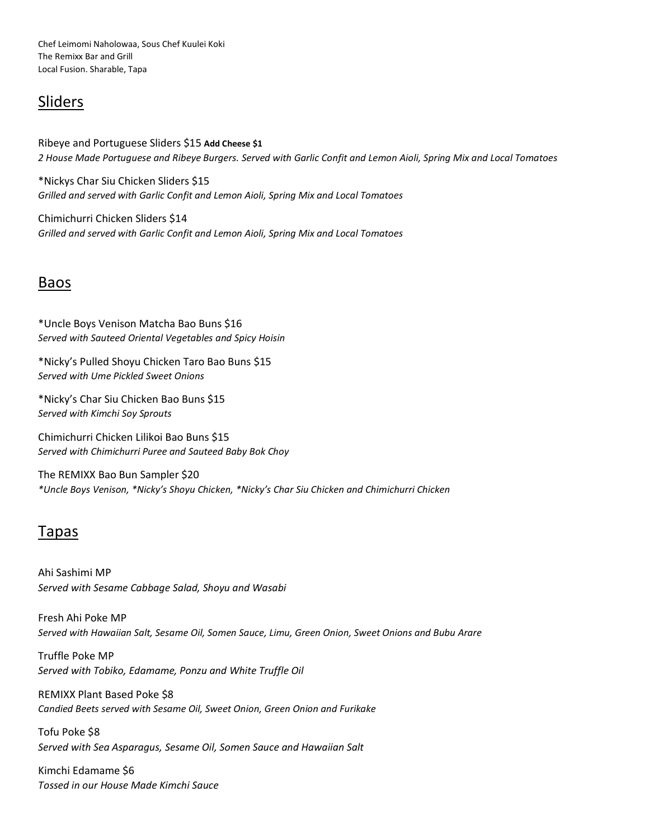Chef Leimomi Naholowaa, Sous Chef Kuulei Koki The Remixx Bar and Grill Local Fusion. Sharable, Tapa

## Sliders

Ribeye and Portuguese Sliders \$15 **Add Cheese \$1** *2 House Made Portuguese and Ribeye Burgers. Served with Garlic Confit and Lemon Aioli, Spring Mix and Local Tomatoes*

\*Nickys Char Siu Chicken Sliders \$15 *Grilled and served with Garlic Confit and Lemon Aioli, Spring Mix and Local Tomatoes* 

Chimichurri Chicken Sliders \$14 *Grilled and served with Garlic Confit and Lemon Aioli, Spring Mix and Local Tomatoes* 

## Baos

\*Uncle Boys Venison Matcha Bao Buns \$16 *Served with Sauteed Oriental Vegetables and Spicy Hoisin*

\*Nicky's Pulled Shoyu Chicken Taro Bao Buns \$15 *Served with Ume Pickled Sweet Onions*

\*Nicky's Char Siu Chicken Bao Buns \$15 *Served with Kimchi Soy Sprouts* 

Chimichurri Chicken Lilikoi Bao Buns \$15 *Served with Chimichurri Puree and Sauteed Baby Bok Choy*

The REMIXX Bao Bun Sampler \$20 *\*Uncle Boys Venison, \*Nicky's Shoyu Chicken, \*Nicky's Char Siu Chicken and Chimichurri Chicken*

## Tapas

Ahi Sashimi MP *Served with Sesame Cabbage Salad, Shoyu and Wasabi*

Fresh Ahi Poke MP *Served with Hawaiian Salt, Sesame Oil, Somen Sauce, Limu, Green Onion, Sweet Onions and Bubu Arare*

Truffle Poke MP *Served with Tobiko, Edamame, Ponzu and White Truffle Oil*

REMIXX Plant Based Poke \$8 *Candied Beets served with Sesame Oil, Sweet Onion, Green Onion and Furikake*

Tofu Poke \$8 *Served with Sea Asparagus, Sesame Oil, Somen Sauce and Hawaiian Salt*

Kimchi Edamame \$6 *Tossed in our House Made Kimchi Sauce*